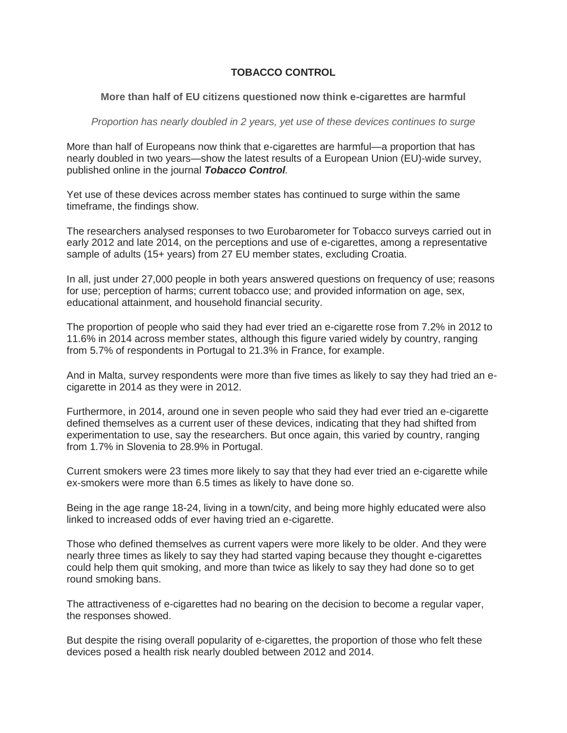## **TOBACCO CONTROL**

## **More than half of EU citizens questioned now think e-cigarettes are harmful**

*Proportion has nearly doubled in 2 years, yet use of these devices continues to surge*

More than half of Europeans now think that e-cigarettes are harmful—a proportion that has nearly doubled in two years—show the latest results of a European Union (EU)-wide survey, published online in the journal *Tobacco Control.*

Yet use of these devices across member states has continued to surge within the same timeframe, the findings show.

The researchers analysed responses to two Eurobarometer for Tobacco surveys carried out in early 2012 and late 2014, on the perceptions and use of e-cigarettes, among a representative sample of adults (15+ years) from 27 EU member states, excluding Croatia.

In all, just under 27,000 people in both years answered questions on frequency of use; reasons for use; perception of harms; current tobacco use; and provided information on age, sex, educational attainment, and household financial security.

The proportion of people who said they had ever tried an e-cigarette rose from 7.2% in 2012 to 11.6% in 2014 across member states, although this figure varied widely by country, ranging from 5.7% of respondents in Portugal to 21.3% in France, for example.

And in Malta, survey respondents were more than five times as likely to say they had tried an ecigarette in 2014 as they were in 2012.

Furthermore, in 2014, around one in seven people who said they had ever tried an e-cigarette defined themselves as a current user of these devices, indicating that they had shifted from experimentation to use, say the researchers. But once again, this varied by country, ranging from 1.7% in Slovenia to 28.9% in Portugal.

Current smokers were 23 times more likely to say that they had ever tried an e-cigarette while ex-smokers were more than 6.5 times as likely to have done so.

Being in the age range 18-24, living in a town/city, and being more highly educated were also linked to increased odds of ever having tried an e-cigarette.

Those who defined themselves as current vapers were more likely to be older. And they were nearly three times as likely to say they had started vaping because they thought e-cigarettes could help them quit smoking, and more than twice as likely to say they had done so to get round smoking bans.

The attractiveness of e-cigarettes had no bearing on the decision to become a regular vaper, the responses showed.

But despite the rising overall popularity of e-cigarettes, the proportion of those who felt these devices posed a health risk nearly doubled between 2012 and 2014.